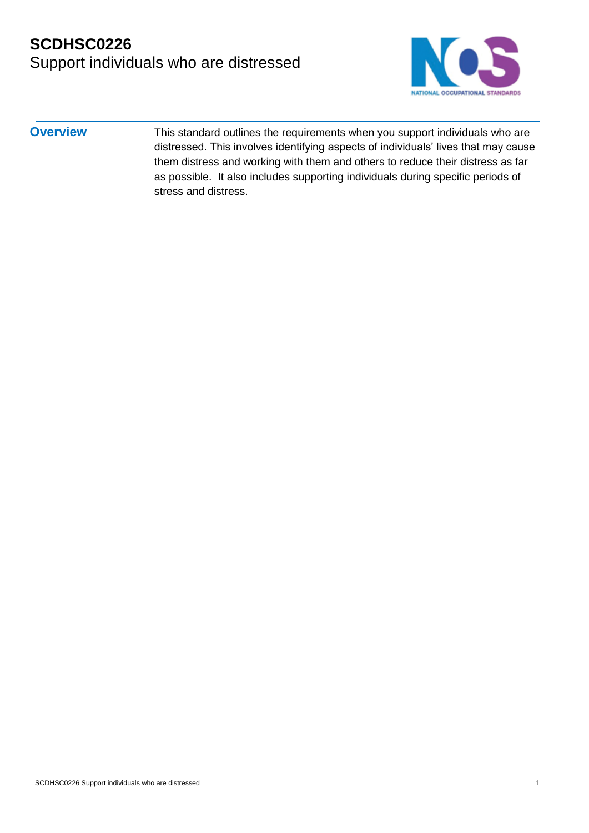

**Overview** This standard outlines the requirements when you support individuals who are distressed. This involves identifying aspects of individuals' lives that may cause them distress and working with them and others to reduce their distress as far as possible. It also includes supporting individuals during specific periods of stress and distress.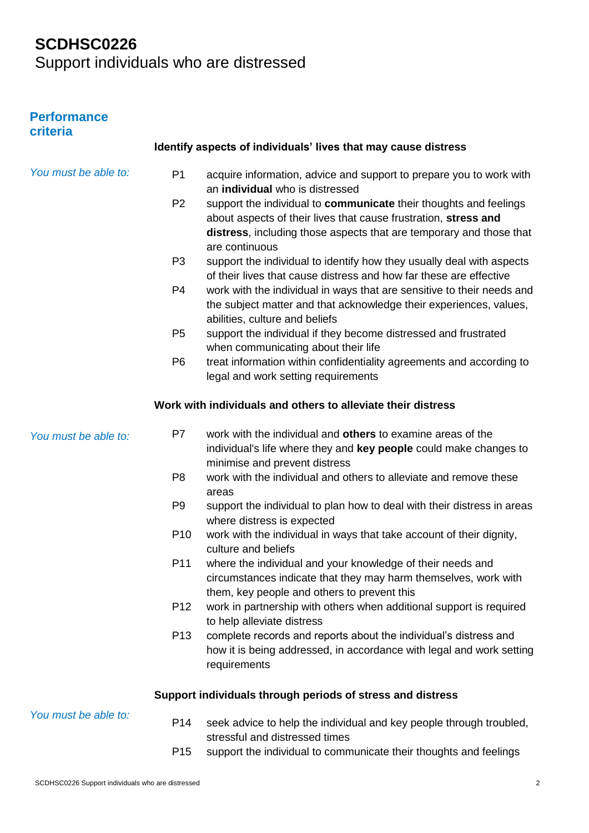# **SCDHSC0226**

Support individuals who are distressed

#### **Performance criteria**

| 51 ILGI 19           |                 |                                                                                                                                                                                                                               |
|----------------------|-----------------|-------------------------------------------------------------------------------------------------------------------------------------------------------------------------------------------------------------------------------|
|                      |                 | Identify aspects of individuals' lives that may cause distress                                                                                                                                                                |
| You must be able to: | P <sub>1</sub>  | acquire information, advice and support to prepare you to work with<br>an individual who is distressed                                                                                                                        |
|                      | P <sub>2</sub>  | support the individual to communicate their thoughts and feelings<br>about aspects of their lives that cause frustration, stress and<br>distress, including those aspects that are temporary and those that<br>are continuous |
|                      | P <sub>3</sub>  | support the individual to identify how they usually deal with aspects<br>of their lives that cause distress and how far these are effective                                                                                   |
|                      | P4              | work with the individual in ways that are sensitive to their needs and<br>the subject matter and that acknowledge their experiences, values,<br>abilities, culture and beliefs                                                |
|                      | P <sub>5</sub>  | support the individual if they become distressed and frustrated<br>when communicating about their life                                                                                                                        |
|                      | P <sub>6</sub>  | treat information within confidentiality agreements and according to<br>legal and work setting requirements                                                                                                                   |
|                      |                 | Work with individuals and others to alleviate their distress                                                                                                                                                                  |
| You must be able to: | P <sub>7</sub>  | work with the individual and others to examine areas of the<br>individual's life where they and key people could make changes to<br>minimise and prevent distress                                                             |
|                      | P <sub>8</sub>  | work with the individual and others to alleviate and remove these<br>areas                                                                                                                                                    |
|                      | P <sub>9</sub>  | support the individual to plan how to deal with their distress in areas<br>where distress is expected                                                                                                                         |
|                      | P <sub>10</sub> | work with the individual in ways that take account of their dignity,<br>culture and beliefs                                                                                                                                   |
|                      | P <sub>11</sub> | where the individual and your knowledge of their needs and<br>circumstances indicate that they may harm themselves, work with<br>them, key people and others to prevent this                                                  |
|                      | P <sub>12</sub> | work in partnership with others when additional support is required<br>to help alleviate distress                                                                                                                             |
|                      | P <sub>13</sub> | complete records and reports about the individual's distress and<br>how it is being addressed, in accordance with legal and work setting<br>requirements                                                                      |
|                      |                 | Support individuals through periods of stress and distress                                                                                                                                                                    |
| You must be able to: | P <sub>14</sub> | seek advice to help the individual and key people through troubled,<br>stressful and distressed times                                                                                                                         |
|                      | P <sub>15</sub> | support the individual to communicate their thoughts and feelings                                                                                                                                                             |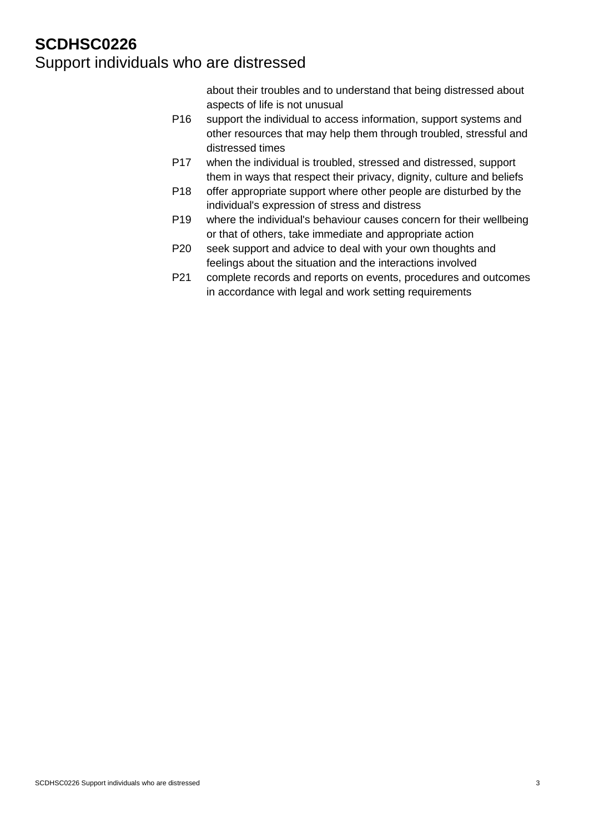about their troubles and to understand that being distressed about aspects of life is not unusual

- P16 support the individual to access information, support systems and other resources that may help them through troubled, stressful and distressed times
- P17 when the individual is troubled, stressed and distressed, support them in ways that respect their privacy, dignity, culture and beliefs
- P18 offer appropriate support where other people are disturbed by the individual's expression of stress and distress
- P19 where the individual's behaviour causes concern for their wellbeing or that of others, take immediate and appropriate action
- P20 seek support and advice to deal with your own thoughts and feelings about the situation and the interactions involved
- P21 complete records and reports on events, procedures and outcomes in accordance with legal and work setting requirements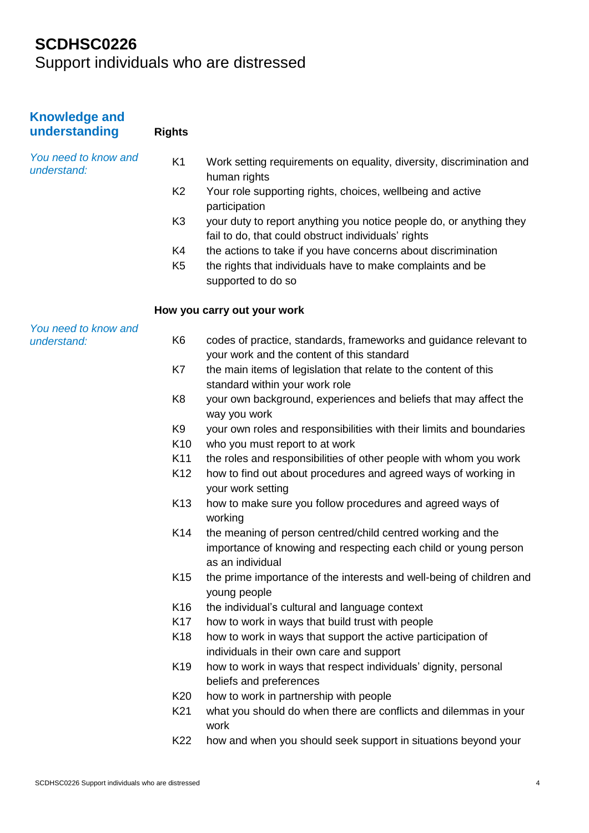# **SCDHSC0226**

Support individuals who are distressed

| <b>Knowledge and</b><br>understanding | <b>Rights</b>   |                                                                                                                                                    |
|---------------------------------------|-----------------|----------------------------------------------------------------------------------------------------------------------------------------------------|
| You need to know and<br>understand:   | K <sub>1</sub>  | Work setting requirements on equality, diversity, discrimination and<br>human rights                                                               |
|                                       | K <sub>2</sub>  | Your role supporting rights, choices, wellbeing and active<br>participation                                                                        |
|                                       | K <sub>3</sub>  | your duty to report anything you notice people do, or anything they<br>fail to do, that could obstruct individuals' rights                         |
|                                       | K4              | the actions to take if you have concerns about discrimination                                                                                      |
|                                       | K <sub>5</sub>  | the rights that individuals have to make complaints and be<br>supported to do so                                                                   |
|                                       |                 | How you carry out your work                                                                                                                        |
| You need to know and<br>understand:   | K <sub>6</sub>  | codes of practice, standards, frameworks and guidance relevant to<br>your work and the content of this standard                                    |
|                                       | K7              | the main items of legislation that relate to the content of this<br>standard within your work role                                                 |
|                                       | K <sub>8</sub>  | your own background, experiences and beliefs that may affect the<br>way you work                                                                   |
|                                       | K <sub>9</sub>  | your own roles and responsibilities with their limits and boundaries                                                                               |
|                                       | K <sub>10</sub> | who you must report to at work                                                                                                                     |
|                                       | K11             | the roles and responsibilities of other people with whom you work                                                                                  |
|                                       | K <sub>12</sub> | how to find out about procedures and agreed ways of working in<br>your work setting                                                                |
|                                       | K <sub>13</sub> | how to make sure you follow procedures and agreed ways of<br>working                                                                               |
|                                       | K14             | the meaning of person centred/child centred working and the<br>importance of knowing and respecting each child or young person<br>as an individual |
|                                       | K <sub>15</sub> | the prime importance of the interests and well-being of children and<br>young people                                                               |
|                                       | K <sub>16</sub> | the individual's cultural and language context                                                                                                     |
|                                       | K <sub>17</sub> | how to work in ways that build trust with people                                                                                                   |
|                                       | K <sub>18</sub> | how to work in ways that support the active participation of<br>individuals in their own care and support                                          |
|                                       | K <sub>19</sub> | how to work in ways that respect individuals' dignity, personal<br>beliefs and preferences                                                         |
|                                       | K <sub>20</sub> | how to work in partnership with people                                                                                                             |
|                                       | K <sub>21</sub> | what you should do when there are conflicts and dilemmas in your<br>work                                                                           |
|                                       | K22             | how and when you should seek support in situations beyond your                                                                                     |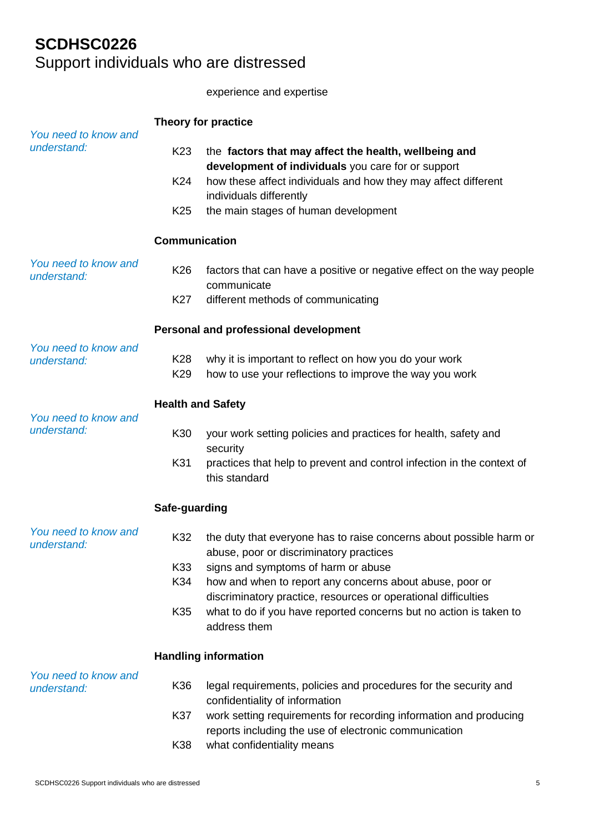experience and expertise

| You need to know and                | Theory for practice                   |                                                                                                                            |  |
|-------------------------------------|---------------------------------------|----------------------------------------------------------------------------------------------------------------------------|--|
| understand:                         | K <sub>23</sub>                       | the factors that may affect the health, wellbeing and<br>development of individuals you care for or support                |  |
|                                     | K24                                   | how these affect individuals and how they may affect different<br>individuals differently                                  |  |
|                                     | K <sub>25</sub>                       | the main stages of human development                                                                                       |  |
|                                     | <b>Communication</b>                  |                                                                                                                            |  |
| You need to know and<br>understand: | K26                                   | factors that can have a positive or negative effect on the way people<br>communicate                                       |  |
|                                     | K27                                   | different methods of communicating                                                                                         |  |
|                                     | Personal and professional development |                                                                                                                            |  |
| You need to know and<br>understand: | K28<br>K <sub>29</sub>                | why it is important to reflect on how you do your work<br>how to use your reflections to improve the way you work          |  |
|                                     | <b>Health and Safety</b>              |                                                                                                                            |  |
| You need to know and<br>understand: | K30                                   | your work setting policies and practices for health, safety and<br>security                                                |  |
|                                     | K31                                   | practices that help to prevent and control infection in the context of<br>this standard                                    |  |
|                                     | Safe-guarding                         |                                                                                                                            |  |
| You need to know and<br>understand: | K32                                   | the duty that everyone has to raise concerns about possible harm or<br>abuse, poor or discriminatory practices             |  |
|                                     | K33<br>K34                            | signs and symptoms of harm or abuse<br>how and when to report any concerns about abuse, poor or                            |  |
|                                     |                                       | discriminatory practice, resources or operational difficulties                                                             |  |
|                                     | K <sub>35</sub>                       | what to do if you have reported concerns but no action is taken to<br>address them                                         |  |
|                                     |                                       | <b>Handling information</b>                                                                                                |  |
| You need to know and<br>understand: | K36                                   | legal requirements, policies and procedures for the security and<br>confidentiality of information                         |  |
|                                     | K37                                   | work setting requirements for recording information and producing<br>reports including the use of electronic communication |  |
|                                     | K38                                   | what confidentiality means                                                                                                 |  |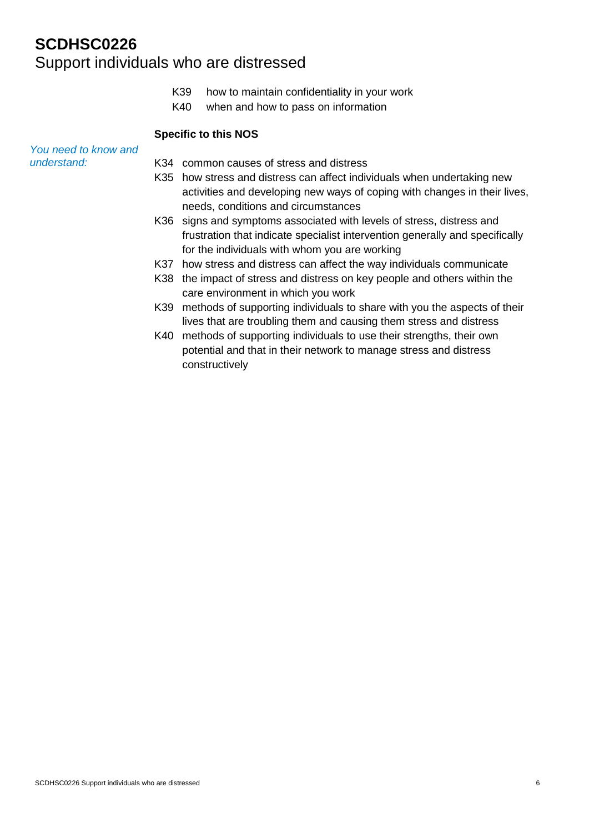- K39 how to maintain confidentiality in your work
- K40 when and how to pass on information

#### **Specific to this NOS**

*You need to know and understand:*

- K34 common causes of stress and distress
- K35 how stress and distress can affect individuals when undertaking new activities and developing new ways of coping with changes in their lives, needs, conditions and circumstances
- K36 signs and symptoms associated with levels of stress, distress and frustration that indicate specialist intervention generally and specifically for the individuals with whom you are working
- K37 how stress and distress can affect the way individuals communicate
- K38 the impact of stress and distress on key people and others within the care environment in which you work
- K39 methods of supporting individuals to share with you the aspects of their lives that are troubling them and causing them stress and distress
- K40 methods of supporting individuals to use their strengths, their own potential and that in their network to manage stress and distress constructively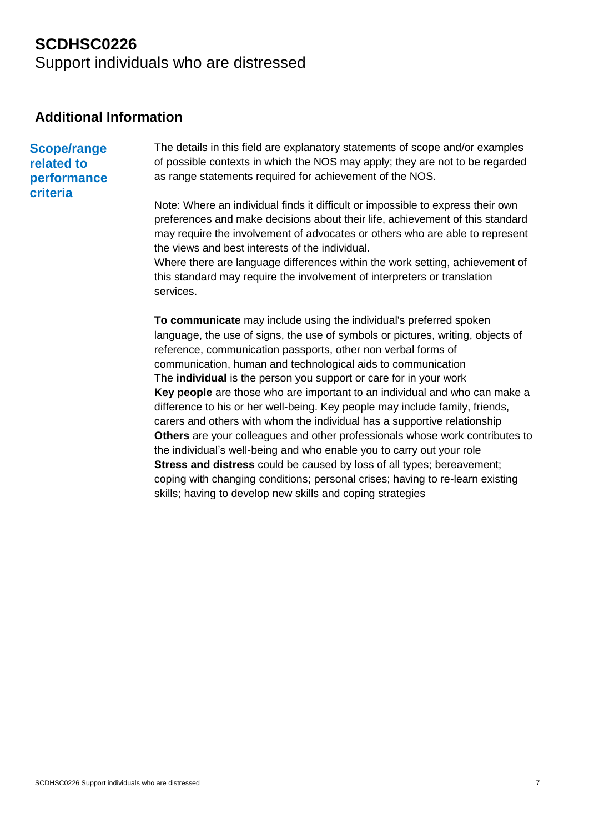## **Additional Information**

**Scope/range related to performance criteria**

The details in this field are explanatory statements of scope and/or examples of possible contexts in which the NOS may apply; they are not to be regarded as range statements required for achievement of the NOS.

Note: Where an individual finds it difficult or impossible to express their own preferences and make decisions about their life, achievement of this standard may require the involvement of advocates or others who are able to represent the views and best interests of the individual.

Where there are language differences within the work setting, achievement of this standard may require the involvement of interpreters or translation services.

**To communicate** may include using the individual's preferred spoken language, the use of signs, the use of symbols or pictures, writing, objects of reference, communication passports, other non verbal forms of communication, human and technological aids to communication The **individual** is the person you support or care for in your work **Key people** are those who are important to an individual and who can make a difference to his or her well-being. Key people may include family, friends, carers and others with whom the individual has a supportive relationship **Others** are your colleagues and other professionals whose work contributes to the individual's well-being and who enable you to carry out your role **Stress and distress** could be caused by loss of all types; bereavement; coping with changing conditions; personal crises; having to re-learn existing skills; having to develop new skills and coping strategies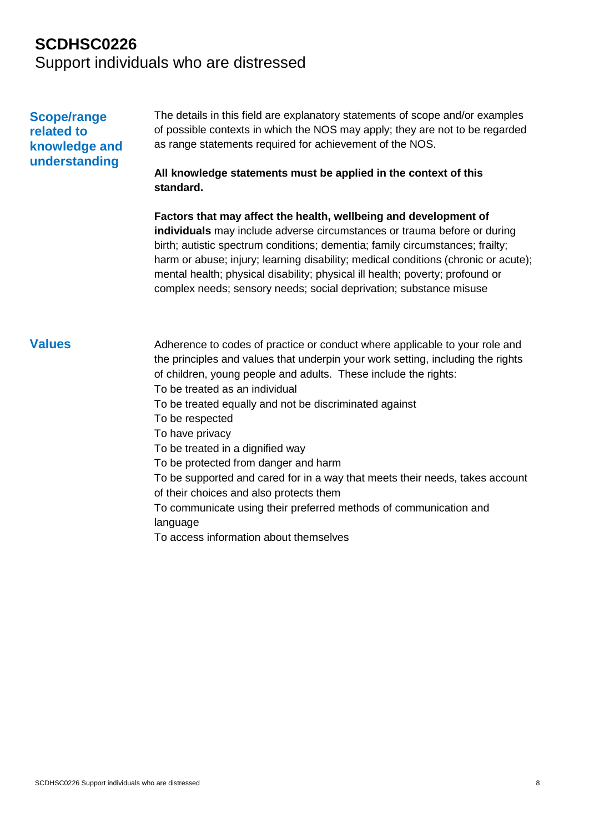### **Scope/range related to knowledge and understanding**

The details in this field are explanatory statements of scope and/or examples of possible contexts in which the NOS may apply; they are not to be regarded as range statements required for achievement of the NOS.

### **All knowledge statements must be applied in the context of this standard.**

**Factors that may affect the health, wellbeing and development of individuals** may include adverse circumstances or trauma before or during birth; autistic spectrum conditions; dementia; family circumstances; frailty; harm or abuse; injury; learning disability; medical conditions (chronic or acute); mental health; physical disability; physical ill health; poverty; profound or complex needs; sensory needs; social deprivation; substance misuse

**Values** Adherence to codes of practice or conduct where applicable to your role and the principles and values that underpin your work setting, including the rights of children, young people and adults. These include the rights: To be treated as an individual To be treated equally and not be discriminated against To be respected To have privacy To be treated in a dignified way To be protected from danger and harm To be supported and cared for in a way that meets their needs, takes account of their choices and also protects them To communicate using their preferred methods of communication and language To access information about themselves